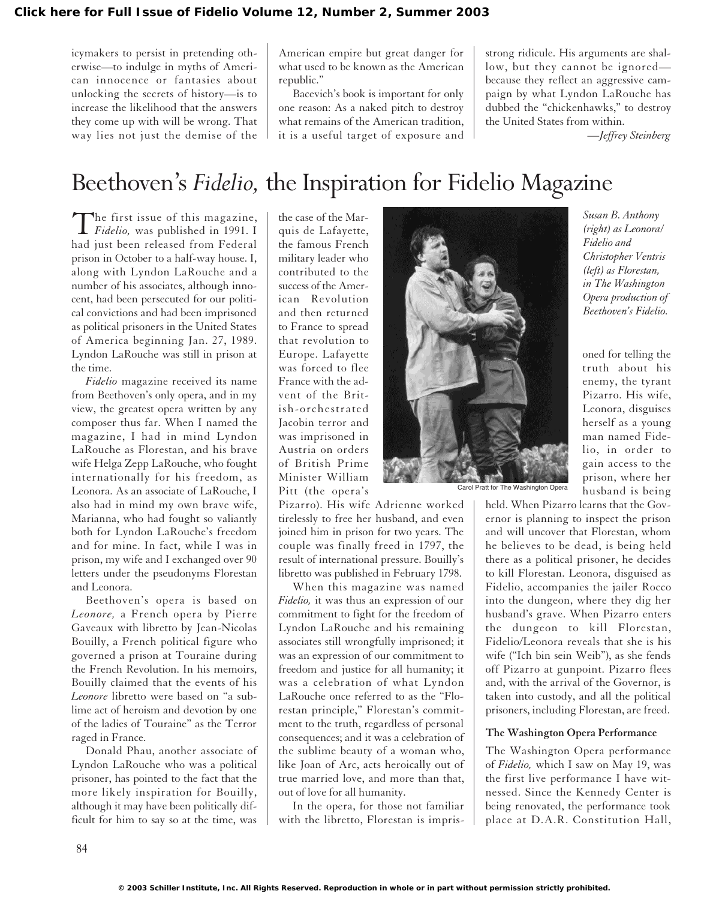icymakers to persist in pretending otherwise—to indulge in myths of American innocence or fantasies about unlocking the secrets of history—is to increase the likelihood that the answers they come up with will be wrong. That way lies not just the demise of the

American empire but great danger for what used to be known as the American republic."

Bacevich's book is important for only one reason: As a naked pitch to destroy what remains of the American tradition, it is a useful target of exposure and

strong ridicule. His arguments are shallow, but they cannot be ignored because they reflect an aggressive campaign by what Lyndon LaRouche has dubbed the "chickenhawks," to destroy the United States from within.

*—Jeffrey Steinberg*

*Susan B. Anthony (right) as Leonora/ Fidelio and Christopher Ventris (left) as Florestan, in The Washington Opera production of Beethoven's Fidelio.*

oned for telling the truth about his enemy, the tyrant Pizarro. His wife, Leonora, disguises herself as a young man named Fide-

# Beethoven's *Fidelio,* the Inspiration for Fidelio Magazine

The first issue of this magazine,<br>*Fidelio*, was published in 1991. I had just been released from Federal prison in October to a half-way house. I, along with Lyndon LaRouche and a number of his associates, although innocent, had been persecuted for our political convictions and had been imprisoned as political prisoners in the United States of America beginning Jan. 27, 1989. Lyndon LaRouche was still in prison at the time.

*Fidelio* magazine received its name from Beethoven's only opera, and in my view, the greatest opera written by any composer thus far. When I named the magazine, I had in mind Lyndon LaRouche as Florestan, and his brave wife Helga Zepp LaRouche, who fought internationally for his freedom, as Leonora. As an associate of LaRouche, I also had in mind my own brave wife, Marianna, who had fought so valiantly both for Lyndon LaRouche's freedom and for mine. In fact, while I was in prison, my wife and I exchanged over 90 letters under the pseudonyms Florestan and Leonora.

Beethoven's opera is based on *Leonore,* a French opera by Pierre Gaveaux with libretto by Jean-Nicolas Bouilly, a French political figure who governed a prison at Touraine during the French Revolution. In his memoirs, Bouilly claimed that the events of his *Leonore* libretto were based on "a sublime act of heroism and devotion by one of the ladies of Touraine" as the Terror raged in France.

Donald Phau, another associate of Lyndon LaRouche who was a political prisoner, has pointed to the fact that the more likely inspiration for Bouilly, although it may have been politically difficult for him to say so at the time, was

the case of the Marquis de Lafayette, the famous French military leader who contributed to the success of the American Revolution and then returned to France to spread that revolution to Europe. Lafayette was forced to flee France with the advent of the British-orchestrated Jacobin terror and was imprisoned in Austria on orders of British Prime Minister William Pitt (the opera's

Pizarro). His wife Adrienne worked tirelessly to free her husband, and even joined him in prison for two years. The couple was finally freed in 1797, the result of international pressure. Bouilly's libretto was published in February 1798.

When this magazine was named *Fidelio,* it was thus an expression of our commitment to fight for the freedom of Lyndon LaRouche and his remaining associates still wrongfully imprisoned; it was an expression of our commitment to freedom and justice for all humanity; it was a celebration of what Lyndon LaRouche once referred to as the "Florestan principle," Florestan's commitment to the truth, regardless of personal consequences; and it was a celebration of the sublime beauty of a woman who, like Joan of Arc, acts heroically out of true married love, and more than that, out of love for all humanity.

In the opera, for those not familiar with the libretto, Florestan is impris-



lio, in order to gain access to the prison, where her husband is being held. When Pizarro learns that the Governor is planning to inspect the prison and will uncover that Florestan, whom he believes to be dead, is being held there as a political prisoner, he decides to kill Florestan. Leonora, disguised as Fidelio, accompanies the jailer Rocco into the dungeon, where they dig her husband's grave. When Pizarro enters the dungeon to kill Florestan, Fidelio/Leonora reveals that she is his wife ("Ich bin sein Weib"), as she fends off Pizarro at gunpoint. Pizarro flees and, with the arrival of the Governor, is taken into custody, and all the political prisoners, including Florestan, are freed. Carol Pratt for The Washington Opera

#### **The Washington Opera Performance**

The Washington Opera performance of *Fidelio,* which I saw on May 19, was the first live performance I have witnessed. Since the Kennedy Center is being renovated, the performance took place at D.A.R. Constitution Hall,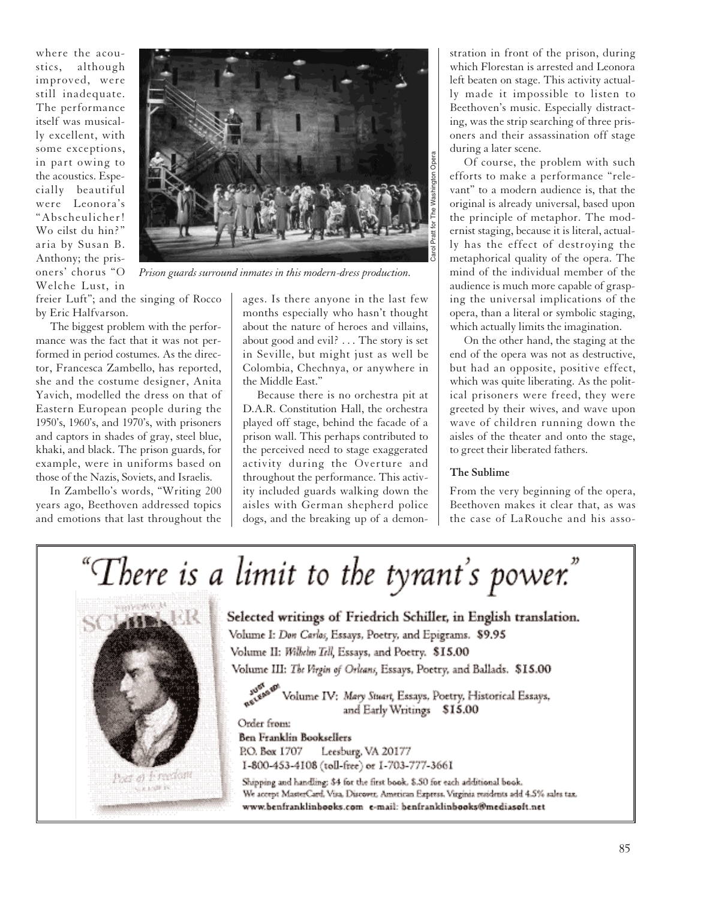where the acoustics, although improved, were still inadequate. The performance itself was musically excellent, with some exceptions, in part owing to the acoustics. Especially beautiful were Leonora's "Abscheulicher! Wo eilst du hin?" aria by Susan B. Anthony; the prisoners' chorus "O Welche Lust, in



The biggest problem with the performance was the fact that it was not performed in period costumes. As the director, Francesca Zambello, has reported, she and the costume designer, Anita Yavich, modelled the dress on that of Eastern European people during the 1950's, 1960's, and 1970's, with prisoners and captors in shades of gray, steel blue, khaki, and black. The prison guards, for example, were in uniforms based on those of the Nazis, Soviets, and Israelis.

In Zambello's words, "Writing 200 years ago, Beethoven addressed topics and emotions that last throughout the



*Prison guards surround inmates in this modern-dress production.*

ages. Is there anyone in the last few months especially who hasn't thought about the nature of heroes and villains, about good and evil? . . . The story is set in Seville, but might just as well be Colombia, Chechnya, or anywhere in the Middle East."

Because there is no orchestra pit at D.A.R. Constitution Hall, the orchestra played off stage, behind the facade of a prison wall. This perhaps contributed to the perceived need to stage exaggerated activity during the Overture and throughout the performance. This activity included guards walking down the aisles with German shepherd police dogs, and the breaking up of a demon-

stration in front of the prison, during which Florestan is arrested and Leonora left beaten on stage. This activity actually made it impossible to listen to Beethoven's music. Especially distracting, was the strip searching of three prisoners and their assassination off stage during a later scene.

Of course, the problem with such efforts to make a performance "relevant" to a modern audience is, that the original is already universal, based upon the principle of metaphor. The modernist staging, because it is literal, actually has the effect of destroying the metaphorical quality of the opera. The mind of the individual member of the audience is much more capable of grasping the universal implications of the opera, than a literal or symbolic staging, which actually limits the imagination.

On the other hand, the staging at the end of the opera was not as destructive, but had an opposite, positive effect, which was quite liberating. As the political prisoners were freed, they were greeted by their wives, and wave upon wave of children running down the aisles of the theater and onto the stage, to greet their liberated fathers.

### **The Sublime**

From the very beginning of the opera, Beethoven makes it clear that, as was the case of LaRouche and his asso-